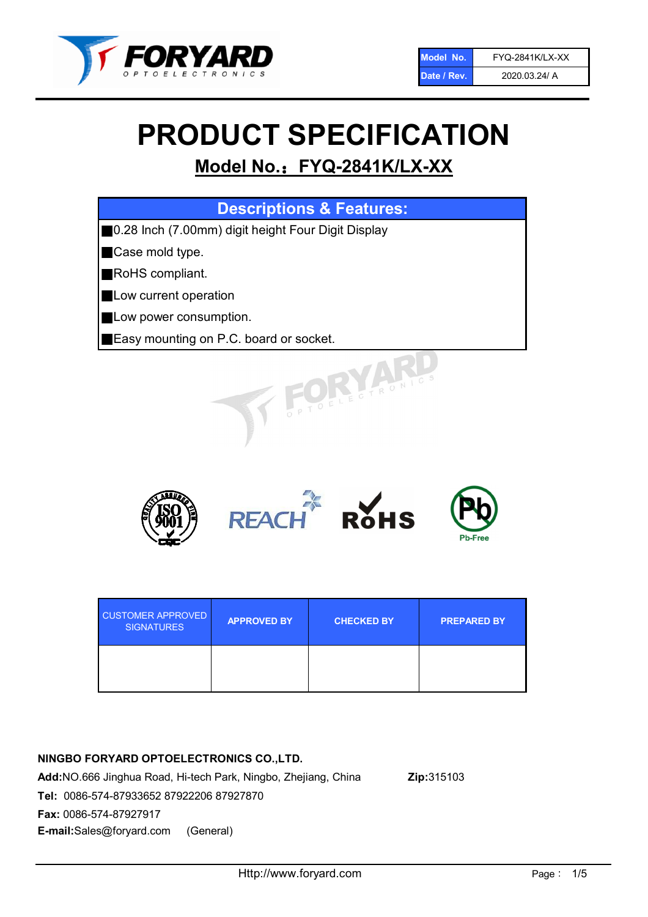

# PRODUCT SPECIFICATION

# Model No.: FYQ-2841K/LX-XX

| <b>Descriptions &amp; Features:</b>                |
|----------------------------------------------------|
| 0.28 Inch (7.00mm) digit height Four Digit Display |
| Case mold type.                                    |
| RoHS compliant.                                    |
| Low current operation                              |
| Low power consumption.                             |
| Easy mounting on P.C. board or socket.             |
| TOELECTRONIC                                       |



| <b>CUSTOMER APPROVED</b><br><b>SIGNATURES</b> | <b>APPROVED BY</b> | <b>CHECKED BY</b> | <b>PREPARED BY</b> |
|-----------------------------------------------|--------------------|-------------------|--------------------|
|                                               |                    |                   |                    |

# NINGBO FORYARD OPTOELECTRONICS CO.,LTD.

Add:NO.666 Jinghua Road, Hi-tech Park, Ningbo, Zhejiang, China Zip:315103 Tel: 0086-574-87933652 87922206 87927870 Fax: 0086-574-87927917 E-mail:Sales@foryard.com (General)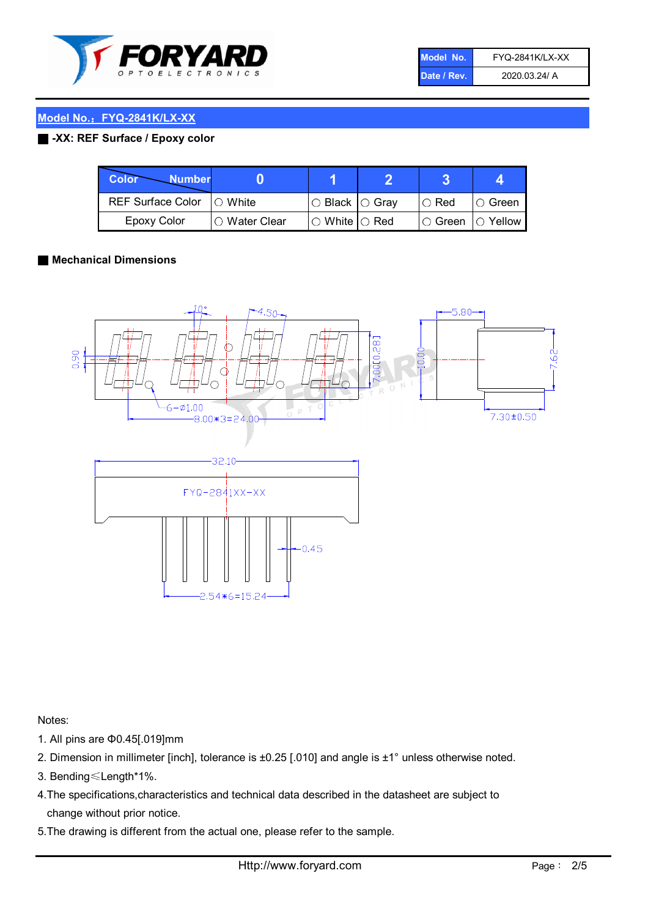

| Model No.   | <b>FYQ-2841K/LX-XX</b> |
|-------------|------------------------|
| Date / Rev. | 2020.03.24/ A          |

### Model No.: FYQ-2841K/LX-XX

### ■ -XX: REF Surface / Epoxy color

| Color<br><b>Number</b>      |                |                                                   |             |                |
|-----------------------------|----------------|---------------------------------------------------|-------------|----------------|
| REF Surface Color   O White |                | ○ Black  ○ Gray                                   | $\circ$ Red | $\circ$ Green  |
| Epoxy Color                 | I⊖ Water Clear | $\mathbin{\varcap}$ White $\mathbin{\varcap}$ Red | IO Green∶   | $\circ$ Yellow |

#### ■ Mechanical Dimensions



Notes:

- 1. All pins are Φ0.45[.019]mm
- 2. Dimension in millimeter [inch], tolerance is ±0.25 [.010] and angle is ±1° unless otherwise noted.
- 3. Bending≤Length\*1%.
- 4.The specifications,characteristics and technical data described in the datasheet are subject to change without prior notice.
- 5.The drawing is different from the actual one, please refer to the sample.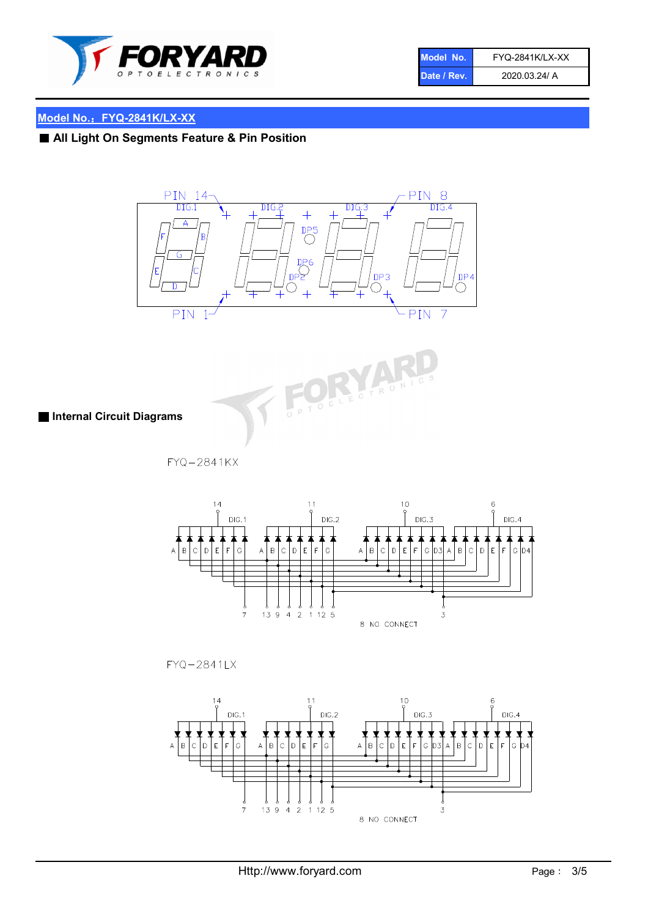

| Model No.   | <b>FYQ-2841K/LX-XX</b> |
|-------------|------------------------|
| Date / Rev. | 2020.03.24/ A          |

# Model No.: FYQ-2841K/LX-XX

■ All Light On Segments Feature & Pin Position





■ Internal Circuit Diagrams

FYQ-2841KX



 $FYQ - 2841LX$ 

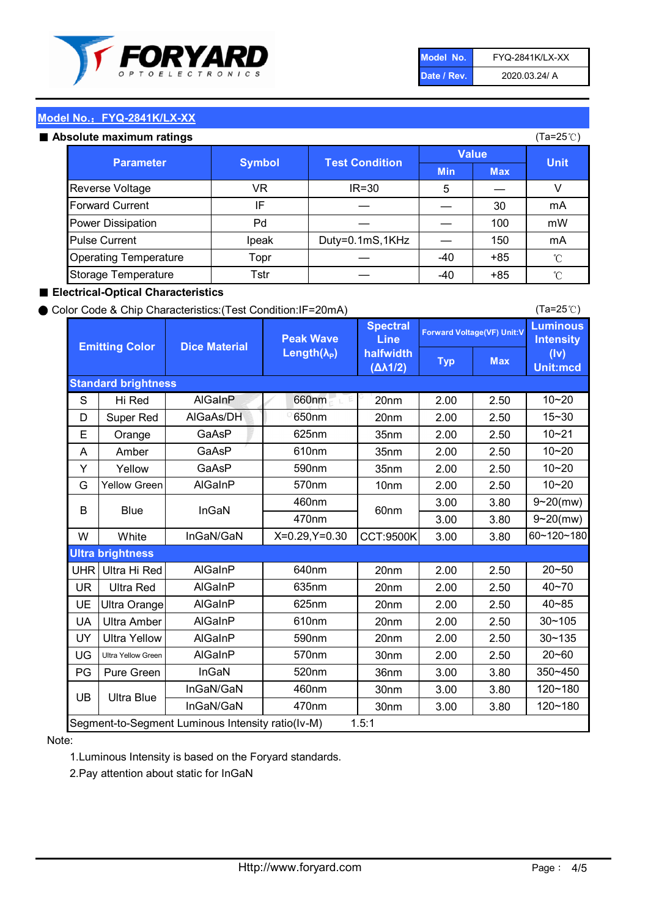

| Model No.   | <b>FYQ-2841K/LX-XX</b> |
|-------------|------------------------|
| Date / Rev. | 2020.03.24/ A          |

(Ta=25℃)

#### Model No.: FYQ-2841K/LX-XX

#### Absolute maximum

| solute maximum ratings       |               |                       |              |            | (Ta=25℃)    |
|------------------------------|---------------|-----------------------|--------------|------------|-------------|
| <b>Parameter</b>             | <b>Symbol</b> | <b>Test Condition</b> | <b>Value</b> |            |             |
|                              |               |                       | <b>Min</b>   | <b>Max</b> | <b>Unit</b> |
| Reverse Voltage              | VR            | $IR = 30$             | 5            |            |             |
| <b>Forward Current</b>       | ΙF            |                       |              | 30         | mA          |
| Power Dissipation            | Pd            |                       |              | 100        | mW          |
| <b>Pulse Current</b>         | Ipeak         | Duty=0.1mS,1KHz       |              | 150        | mA          |
| <b>Operating Temperature</b> | Topr          |                       | $-40$        | $+85$      | °C          |
| Storage Temperature          | Tstr          |                       | $-40$        | $+85$      | °C          |

#### ■ Electrical-Optical Characteristics

#### ● Color Code & Chip Characteristics:(Test Condition:IF=20mA)

Typ Max S | Hi $\textsf{Red}$  | AlGaInP | 660nm LE 20nm | 2.00 | 2.50 D | Super Red | AIGaAs/DH | 650nm | 20nm | 2.00 | 2.50 E | Orange | GaAsP | 625nm | 35nm | 2.00 | 2.50 A | Amber | GaAsP | 610nm | 35nm | 2.00 | 2.50 Y | Yellow | GaAsP | 590nm | 35nm | 2.00 | 2.50 G Yellow Green AIGaInP | 570nm | 10nm | 2.00 | 2.50 3.00 3.80 3.00 3.80 W | White | InGaN/GaN | X=0.29,Y=0.30 |CCT:9500K| 3.00 | 3.80 UHR Ultra Hi Red  $\vert$  AIGaInP  $\vert$  640nm  $\vert$  20nm  $\vert$  2.00  $\vert$  2.50 UR | Ultra Red | AlGaInP | 635nm | 20nm | 2.00 | 2.50 UE Ultra Orange | AIGaInP | 625nm | 20nm | 2.00 | 2.50 UA Ultra Amber | AIGaInP | 610nm | 20nm | 2.00 | 2.50  $UV$  Ultra Yellow  $\vert$  AlGaInP  $\vert$  590nm  $\vert$  20nm  $\vert$  2.00  $\vert$  2.50  $\text{UG}$  Ultra Yellow Green | AIGaInP | 570nm | 30nm | 2.00 | 2.50 PG Pure Green | InGaN | 520nm | 36nm | 3.00 | 3.80 30nm 3.00 3.80 30nm 3.00 3.80 10~20 Standard brightness Forward Voltage(VF) Unit:V 15~30 10~20 10~20 625nm GaAsP 590nm **Emitting Color Dice Material** 10~21 610nm Luminous **Intensity** (Iv) Unit:mcd AlGainP 660nm GaAsP GaAsP AlGaAs/DH **Spectral** Line halfwidth (∆λ1/2) Peak Wave Length $(\lambda_{\rm P})$ UB 460nm 635nm AlGaInP AlGaInP AlGaInP InGaN/GaN AlGaInP | 570nm | 10nm | 2.00 | 2.50 | 10~20 30~105 30~135 460nm 520nm Ultra brightness **AlGaInP** AlGaInP 60nm AlGaInP 640nm Segment-to-Segment Luminous Intensity ratio(Iv-M) 1.5:1 610nm 9~20(mw) 350~450 470nm 120~180 120~180 Ultra Blue InGaN/GaN 9~20(mw) 20~50 570nm | 30nm | 2.00 | 2.50 | 20~60 470nm 590nm InGaN/GaN B Blue I InGaN 40~85 60~120~180 40~70

#### Note:

1.Luminous Intensity is based on the Foryard standards.

2.Pay attention about static for InGaN